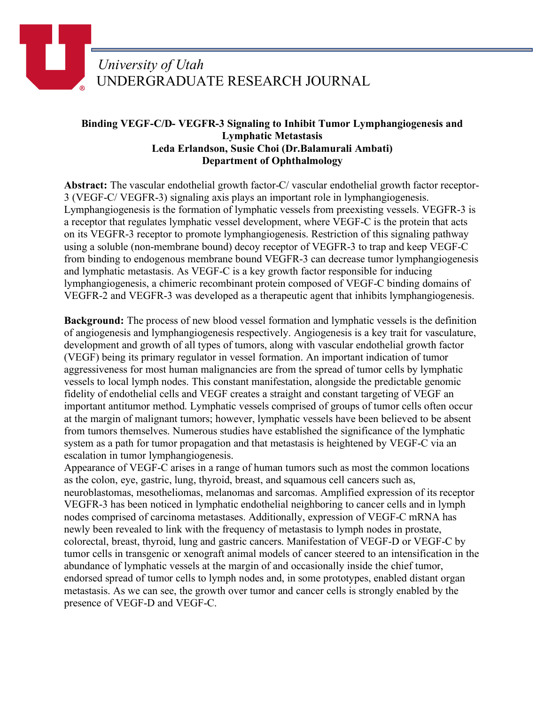## *University of Utah* UNDERGRADUATE RESEARCH JOURNAL

## **Binding VEGF-C/D- VEGFR-3 Signaling to Inhibit Tumor Lymphangiogenesis and Lymphatic Metastasis Leda Erlandson, Susie Choi (Dr.Balamurali Ambati) Department of Ophthalmology**

**Abstract:** The vascular endothelial growth factor-C/ vascular endothelial growth factor receptor-3 (VEGF-C/ VEGFR-3) signaling axis plays an important role in lymphangiogenesis. Lymphangiogenesis is the formation of lymphatic vessels from preexisting vessels. VEGFR-3 is a receptor that regulates lymphatic vessel development, where VEGF-C is the protein that acts on its VEGFR-3 receptor to promote lymphangiogenesis. Restriction of this signaling pathway using a soluble (non-membrane bound) decoy receptor of VEGFR-3 to trap and keep VEGF-C from binding to endogenous membrane bound VEGFR-3 can decrease tumor lymphangiogenesis and lymphatic metastasis. As VEGF-C is a key growth factor responsible for inducing lymphangiogenesis, a chimeric recombinant protein composed of VEGF-C binding domains of VEGFR-2 and VEGFR-3 was developed as a therapeutic agent that inhibits lymphangiogenesis.

**Background:** The process of new blood vessel formation and lymphatic vessels is the definition of angiogenesis and lymphangiogenesis respectively. Angiogenesis is a key trait for vasculature, development and growth of all types of tumors, along with vascular endothelial growth factor (VEGF) being its primary regulator in vessel formation. An important indication of tumor aggressiveness for most human malignancies are from the spread of tumor cells by lymphatic vessels to local lymph nodes. This constant manifestation, alongside the predictable genomic fidelity of endothelial cells and VEGF creates a straight and constant targeting of VEGF an important antitumor method. Lymphatic vessels comprised of groups of tumor cells often occur at the margin of malignant tumors; however, lymphatic vessels have been believed to be absent from tumors themselves. Numerous studies have established the significance of the lymphatic system as a path for tumor propagation and that metastasis is heightened by VEGF-C via an escalation in tumor lymphangiogenesis.

Appearance of VEGF-C arises in a range of human tumors such as most the common locations as the colon, eye, gastric, lung, thyroid, breast, and squamous cell cancers such as, neuroblastomas, mesotheliomas, melanomas and sarcomas. Amplified expression of its receptor VEGFR-3 has been noticed in lymphatic endothelial neighboring to cancer cells and in lymph nodes comprised of carcinoma metastases. Additionally, expression of VEGF-C mRNA has newly been revealed to link with the frequency of metastasis to lymph nodes in prostate, colorectal, breast, thyroid, lung and gastric cancers. Manifestation of VEGF-D or VEGF-C by tumor cells in transgenic or xenograft animal models of cancer steered to an intensification in the abundance of lymphatic vessels at the margin of and occasionally inside the chief tumor, endorsed spread of tumor cells to lymph nodes and, in some prototypes, enabled distant organ metastasis. As we can see, the growth over tumor and cancer cells is strongly enabled by the presence of VEGF-D and VEGF-C.